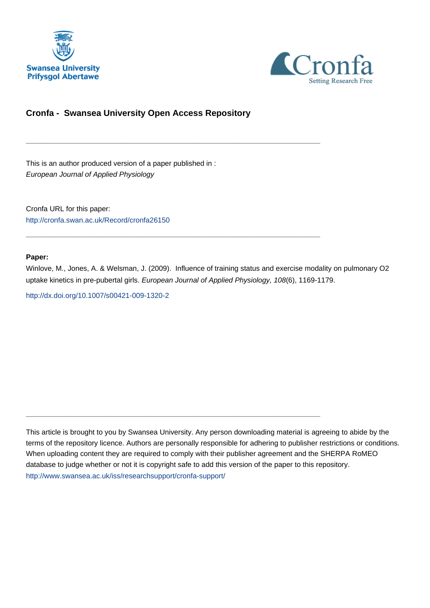



## **Cronfa - Swansea University Open Access Repository**

\_\_\_\_\_\_\_\_\_\_\_\_\_\_\_\_\_\_\_\_\_\_\_\_\_\_\_\_\_\_\_\_\_\_\_\_\_\_\_\_\_\_\_\_\_\_\_\_\_\_\_\_\_\_\_\_\_\_\_\_\_

 $\_$  , and the set of the set of the set of the set of the set of the set of the set of the set of the set of the set of the set of the set of the set of the set of the set of the set of the set of the set of the set of th

 $\_$  , and the set of the set of the set of the set of the set of the set of the set of the set of the set of the set of the set of the set of the set of the set of the set of the set of the set of the set of the set of th

This is an author produced version of a paper published in : European Journal of Applied Physiology

Cronfa URL for this paper: <http://cronfa.swan.ac.uk/Record/cronfa26150>

#### **Paper:**

Winlove, M., Jones, A. & Welsman, J. (2009). Influence of training status and exercise modality on pulmonary O2 uptake kinetics in pre-pubertal girls. European Journal of Applied Physiology, 108(6), 1169-1179.

<http://dx.doi.org/10.1007/s00421-009-1320-2>

This article is brought to you by Swansea University. Any person downloading material is agreeing to abide by the terms of the repository licence. Authors are personally responsible for adhering to publisher restrictions or conditions. When uploading content they are required to comply with their publisher agreement and the SHERPA RoMEO database to judge whether or not it is copyright safe to add this version of the paper to this repository. [http://www.swansea.ac.uk/iss/researchsupport/cronfa-support/](http://www.swansea.ac.uk/iss/researchsupport/cronfa-support/ )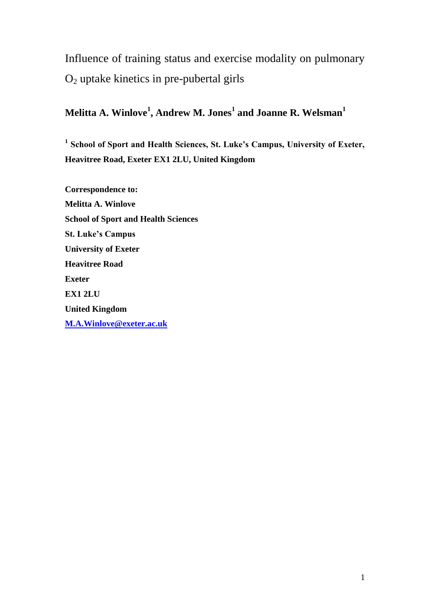Influence of training status and exercise modality on pulmonary  $O<sub>2</sub>$  uptake kinetics in pre-pubertal girls

## **Melitta A. Winlove<sup>1</sup> , Andrew M. Jones<sup>1</sup> and Joanne R. Welsman<sup>1</sup>**

<sup>1</sup> School of Sport and Health Sciences, St. Luke's Campus, University of Exeter, **Heavitree Road, Exeter EX1 2LU, United Kingdom**

**Correspondence to: Melitta A. Winlove School of Sport and Health Sciences St. Luke's Campus University of Exeter Heavitree Road Exeter EX1 2LU United Kingdom M.A.Winlove@exeter.ac.uk**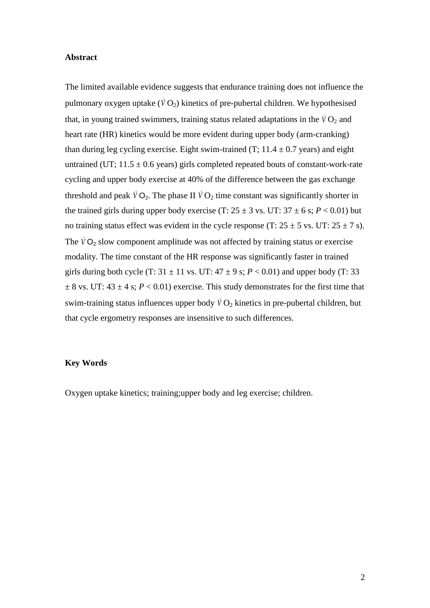#### **Abstract**

The limited available evidence suggests that endurance training does not influence the pulmonary oxygen uptake  $(\dot{V}O_2)$  kinetics of pre-pubertal children. We hypothesised that, in young trained swimmers, training status related adaptations in the  $\dot{V}O_2$  and heart rate (HR) kinetics would be more evident during upper body (arm-cranking) than during leg cycling exercise. Eight swim-trained (T;  $11.4 \pm 0.7$  years) and eight untrained (UT;  $11.5 \pm 0.6$  years) girls completed repeated bouts of constant-work-rate cycling and upper body exercise at 40% of the difference between the gas exchange threshold and peak  $\dot{V}O_2$ . The phase II  $\dot{V}O_2$  time constant was significantly shorter in the trained girls during upper body exercise (T:  $25 \pm 3$  vs. UT:  $37 \pm 6$  s:  $P < 0.01$ ) but no training status effect was evident in the cycle response (T:  $25 \pm 5$  vs. UT:  $25 \pm 7$  s). The  $\dot{V}O_2$  slow component amplitude was not affected by training status or exercise modality. The time constant of the HR response was significantly faster in trained girls during both cycle (T:  $31 \pm 11$  vs. UT:  $47 \pm 9$  s;  $P < 0.01$ ) and upper body (T: 33  $\pm$  8 vs. UT: 43  $\pm$  4 s; *P* < 0.01) exercise. This study demonstrates for the first time that swim-training status influences upper body  $\dot{V}O_2$  kinetics in pre-pubertal children, but that cycle ergometry responses are insensitive to such differences.

#### **Key Words**

Oxygen uptake kinetics; training;upper body and leg exercise; children.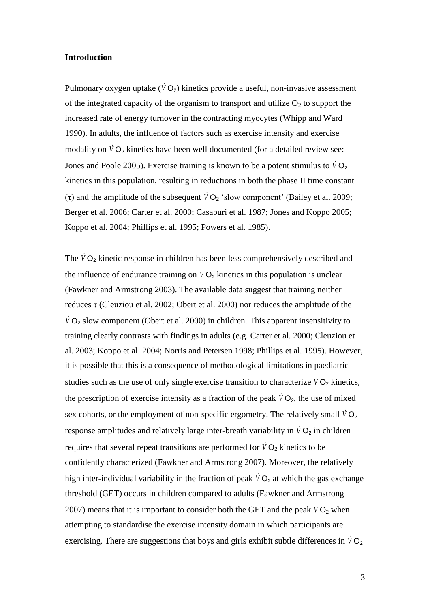#### **Introduction**

Pulmonary oxygen uptake  $(\overline{V}O_2)$  kinetics provide a useful, non-invasive assessment of the integrated capacity of the organism to transport and utilize  $O_2$  to support the increased rate of energy turnover in the contracting myocytes (Whipp and Ward 1990). In adults, the influence of factors such as exercise intensity and exercise modality on  $VO_2$  kinetics have been well documented (for a detailed review see: Jones and Poole 2005). Exercise training is known to be a potent stimulus to  $\dot{V}O_2$ kinetics in this population, resulting in reductions in both the phase II time constant ( $\tau$ ) and the amplitude of the subsequent  $\dot{V}O_2$  'slow component' (Bailey et al. 2009; Berger et al. 2006; Carter et al. 2000; Casaburi et al. 1987; Jones and Koppo 2005; Koppo et al. 2004; Phillips et al. 1995; Powers et al. 1985).

The  $\dot{V}O_2$  kinetic response in children has been less comprehensively described and the influence of endurance training on  $\dot{V}O_2$  kinetics in this population is unclear (Fawkner and Armstrong 2003). The available data suggest that training neither reduces τ (Cleuziou et al. 2002; Obert et al. 2000) nor reduces the amplitude of the  $\dot{V}$   $O_2$  slow component (Obert et al. 2000) in children. This apparent insensitivity to training clearly contrasts with findings in adults (e.g. Carter et al. 2000; Cleuziou et al. 2003; Koppo et al. 2004; Norris and Petersen 1998; Phillips et al. 1995). However, it is possible that this is a consequence of methodological limitations in paediatric studies such as the use of only single exercise transition to characterize  $\dot{V}O_2$  kinetics, the prescription of exercise intensity as a fraction of the peak  $VO_2$ , the use of mixed sex cohorts, or the employment of non-specific ergometry. The relatively small  $\dot{V}O_2$ response amplitudes and relatively large inter-breath variability in  $\dot{V}O_2$  in children requires that several repeat transitions are performed for  $\dot{V}O_2$  kinetics to be confidently characterized (Fawkner and Armstrong 2007). Moreover, the relatively high inter-individual variability in the fraction of peak  $\dot{V}O_2$  at which the gas exchange threshold (GET) occurs in children compared to adults (Fawkner and Armstrong 2007) means that it is important to consider both the GET and the peak  $\dot{V}O_2$  when attempting to standardise the exercise intensity domain in which participants are exercising. There are suggestions that boys and girls exhibit subtle differences in  $\dot{V}O_2$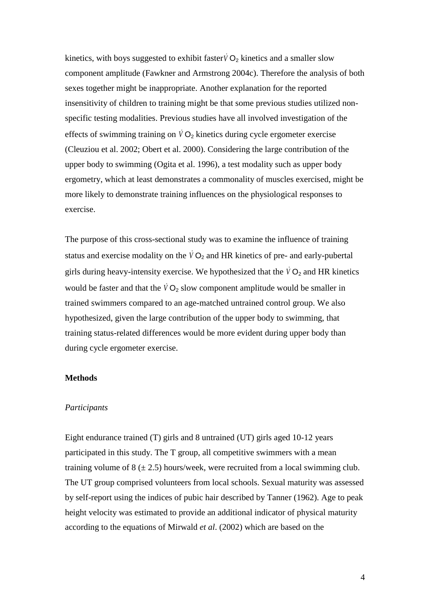kinetics, with boys suggested to exhibit faster  $\dot{V}O_2$  kinetics and a smaller slow component amplitude (Fawkner and Armstrong 2004c). Therefore the analysis of both sexes together might be inappropriate. Another explanation for the reported insensitivity of children to training might be that some previous studies utilized nonspecific testing modalities. Previous studies have all involved investigation of the effects of swimming training on  $\dot{V}O_2$  kinetics during cycle ergometer exercise (Cleuziou et al. 2002; Obert et al. 2000). Considering the large contribution of the upper body to swimming (Ogita et al. 1996), a test modality such as upper body ergometry, which at least demonstrates a commonality of muscles exercised, might be more likely to demonstrate training influences on the physiological responses to exercise.

The purpose of this cross-sectional study was to examine the influence of training status and exercise modality on the  $\dot{V}O_2$  and HR kinetics of pre- and early-pubertal girls during heavy-intensity exercise. We hypothesized that the  $\dot{V}O_2$  and HR kinetics would be faster and that the  $\dot{V}O_2$  slow component amplitude would be smaller in trained swimmers compared to an age-matched untrained control group. We also hypothesized, given the large contribution of the upper body to swimming, that training status-related differences would be more evident during upper body than during cycle ergometer exercise.

## **Methods**

#### *Participants*

Eight endurance trained (T) girls and 8 untrained (UT) girls aged 10-12 years participated in this study. The T group, all competitive swimmers with a mean training volume of  $8 \div 2.5$ ) hours/week, were recruited from a local swimming club. The UT group comprised volunteers from local schools. Sexual maturity was assessed by self-report using the indices of pubic hair described by Tanner (1962). Age to peak height velocity was estimated to provide an additional indicator of physical maturity according to the equations of Mirwald *et al*. (2002) which are based on the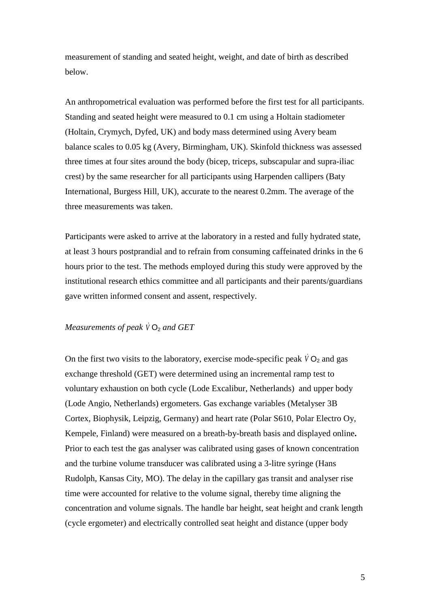measurement of standing and seated height, weight, and date of birth as described below.

An anthropometrical evaluation was performed before the first test for all participants. Standing and seated height were measured to 0.1 cm using a Holtain stadiometer (Holtain, Crymych, Dyfed, UK) and body mass determined using Avery beam balance scales to 0.05 kg (Avery, Birmingham, UK). Skinfold thickness was assessed three times at four sites around the body (bicep, triceps, subscapular and supra-iliac crest) by the same researcher for all participants using Harpenden callipers (Baty International, Burgess Hill, UK), accurate to the nearest 0.2mm. The average of the three measurements was taken.

Participants were asked to arrive at the laboratory in a rested and fully hydrated state, at least 3 hours postprandial and to refrain from consuming caffeinated drinks in the 6 hours prior to the test. The methods employed during this study were approved by the institutional research ethics committee and all participants and their parents/guardians gave written informed consent and assent, respectively.

## $M$ easurements of peak  $\dot{\vee}$   $O_2$  and GET

On the first two visits to the laboratory, exercise mode-specific peak  $\dot{V}O_2$  and gas exchange threshold (GET) were determined using an incremental ramp test to voluntary exhaustion on both cycle (Lode Excalibur, Netherlands) and upper body (Lode Angio, Netherlands) ergometers. Gas exchange variables (Metalyser 3B Cortex, Biophysik, Leipzig, Germany) and heart rate (Polar S610, Polar Electro Oy, Kempele, Finland) were measured on a breath-by-breath basis and displayed online**.** Prior to each test the gas analyser was calibrated using gases of known concentration and the turbine volume transducer was calibrated using a 3-litre syringe (Hans Rudolph, Kansas City, MO). The delay in the capillary gas transit and analyser rise time were accounted for relative to the volume signal, thereby time aligning the concentration and volume signals. The handle bar height, seat height and crank length (cycle ergometer) and electrically controlled seat height and distance (upper body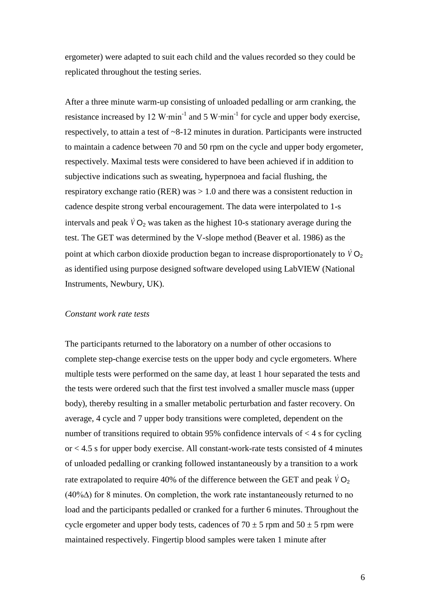ergometer) were adapted to suit each child and the values recorded so they could be replicated throughout the testing series.

After a three minute warm-up consisting of unloaded pedalling or arm cranking, the resistance increased by 12 W⋅min<sup>-1</sup> and 5 W⋅min<sup>-1</sup> for cycle and upper body exercise, respectively, to attain a test of ~8-12 minutes in duration. Participants were instructed to maintain a cadence between 70 and 50 rpm on the cycle and upper body ergometer, respectively. Maximal tests were considered to have been achieved if in addition to subjective indications such as sweating, hyperpnoea and facial flushing, the respiratory exchange ratio (RER) was  $> 1.0$  and there was a consistent reduction in cadence despite strong verbal encouragement. The data were interpolated to 1-s intervals and peak  $\dot{V}O_2$  was taken as the highest 10-s stationary average during the test. The GET was determined by the V-slope method (Beaver et al. 1986) as the point at which carbon dioxide production began to increase disproportionately to  $\dot{V}O_2$ as identified using purpose designed software developed using LabVIEW (National Instruments, Newbury, UK).

## *Constant work rate tests*

The participants returned to the laboratory on a number of other occasions to complete step-change exercise tests on the upper body and cycle ergometers. Where multiple tests were performed on the same day, at least 1 hour separated the tests and the tests were ordered such that the first test involved a smaller muscle mass (upper body), thereby resulting in a smaller metabolic perturbation and faster recovery. On average, 4 cycle and 7 upper body transitions were completed, dependent on the number of transitions required to obtain 95% confidence intervals of < 4 s for cycling or < 4.5 s for upper body exercise. All constant-work-rate tests consisted of 4 minutes of unloaded pedalling or cranking followed instantaneously by a transition to a work rate extrapolated to require 40% of the difference between the GET and peak  $\dot{V}O_2$ (40%∆) for 8 minutes. On completion, the work rate instantaneously returned to no load and the participants pedalled or cranked for a further 6 minutes. Throughout the cycle ergometer and upper body tests, cadences of  $70 \pm 5$  rpm and  $50 \pm 5$  rpm were maintained respectively. Fingertip blood samples were taken 1 minute after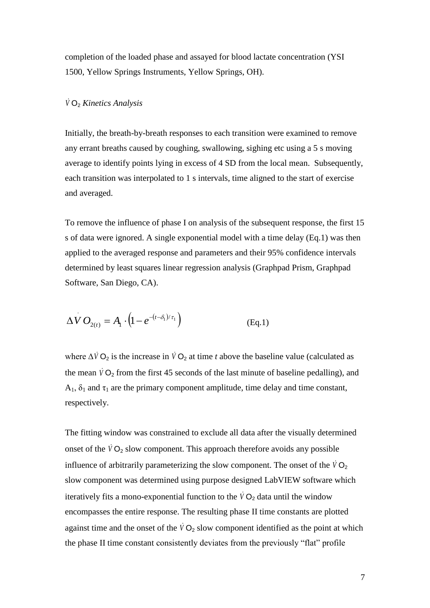completion of the loaded phase and assayed for blood lactate concentration (YSI 1500, Yellow Springs Instruments, Yellow Springs, OH).

## *V* O<sup>2</sup> *Kinetics Analysis*

Initially, the breath-by-breath responses to each transition were examined to remove any errant breaths caused by coughing, swallowing, sighing etc using a 5 s moving average to identify points lying in excess of 4 SD from the local mean. Subsequently, each transition was interpolated to 1 s intervals, time aligned to the start of exercise and averaged.

To remove the influence of phase I on analysis of the subsequent response, the first 15 s of data were ignored. A single exponential model with a time delay (Eq.1) was then applied to the averaged response and parameters and their 95% confidence intervals determined by least squares linear regression analysis (Graphpad Prism, Graphpad Software, San Diego, CA).

$$
\Delta V O_{2(t)} = A_1 \cdot (1 - e^{-(t - \delta_1)/\tau_1})
$$
 (Eq.1)

where  $\Delta V$  O<sub>2</sub> is the increase in  $\dot{V}$  O<sub>2</sub> at time *t* above the baseline value (calculated as the mean  $\dot{V}O_2$  from the first 45 seconds of the last minute of baseline pedalling), and  $A_1$ ,  $\delta_1$  and  $\tau_1$  are the primary component amplitude, time delay and time constant, respectively.

The fitting window was constrained to exclude all data after the visually determined onset of the  $\dot{V}O_2$  slow component. This approach therefore avoids any possible influence of arbitrarily parameterizing the slow component. The onset of the  $\dot{V}O_2$ slow component was determined using purpose designed LabVIEW software which iteratively fits a mono-exponential function to the  $\dot{V}O_2$  data until the window encompasses the entire response. The resulting phase II time constants are plotted against time and the onset of the  $\overline{V}O_2$  slow component identified as the point at which the phase II time constant consistently deviates from the previously "flat" profile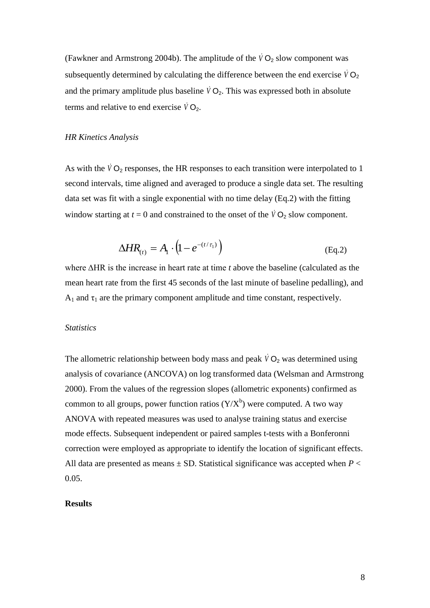(Fawkner and Armstrong 2004b). The amplitude of the  $\dot{V}O_2$  slow component was subsequently determined by calculating the difference between the end exercise  $\dot{V}O_2$ and the primary amplitude plus baseline  $\dot{V}O_2$ . This was expressed both in absolute terms and relative to end exercise  $\dot{V}O_2$ .

#### *HR Kinetics Analysis*

As with the  $\dot{V}O_2$  responses, the HR responses to each transition were interpolated to 1 second intervals, time aligned and averaged to produce a single data set. The resulting data set was fit with a single exponential with no time delay (Eq.2) with the fitting window starting at  $t = 0$  and constrained to the onset of the  $\dot{V}O_2$  slow component.

$$
\Delta HR_{(t)} = A_1 \cdot \left(1 - e^{-(t/\tau_1)}\right) \tag{Eq.2}
$$

where ∆HR is the increase in heart rate at time *t* above the baseline (calculated as the mean heart rate from the first 45 seconds of the last minute of baseline pedalling), and  $A_1$  and  $\tau_1$  are the primary component amplitude and time constant, respectively.

## *Statistics*

The allometric relationship between body mass and peak  $\dot{V}O_2$  was determined using analysis of covariance (ANCOVA) on log transformed data (Welsman and Armstrong 2000). From the values of the regression slopes (allometric exponents) confirmed as common to all groups, power function ratios  $(Y/X^b)$  were computed. A two way ANOVA with repeated measures was used to analyse training status and exercise mode effects. Subsequent independent or paired samples t-tests with a Bonferonni correction were employed as appropriate to identify the location of significant effects. All data are presented as means  $\pm$  SD. Statistical significance was accepted when  $P \leq$ 0.05.

#### **Results**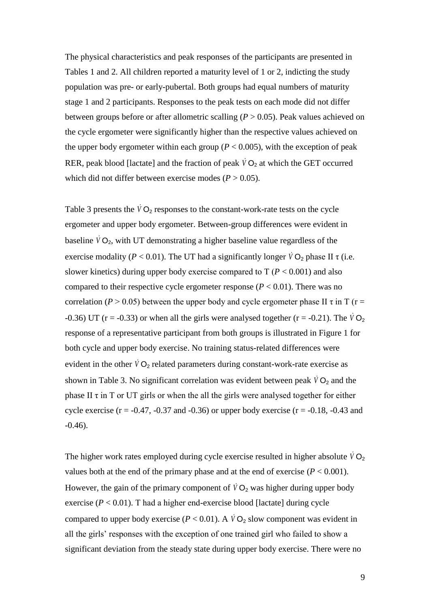The physical characteristics and peak responses of the participants are presented in Tables 1 and 2. All children reported a maturity level of 1 or 2, indicting the study population was pre- or early-pubertal. Both groups had equal numbers of maturity stage 1 and 2 participants. Responses to the peak tests on each mode did not differ between groups before or after allometric scalling (*P* > 0.05). Peak values achieved on the cycle ergometer were significantly higher than the respective values achieved on the upper body ergometer within each group ( $P < 0.005$ ), with the exception of peak RER, peak blood [lactate] and the fraction of peak  $\dot{V}O_2$  at which the GET occurred which did not differ between exercise modes ( $P > 0.05$ ).

Table 3 presents the  $\dot{V}O_2$  responses to the constant-work-rate tests on the cycle ergometer and upper body ergometer. Between-group differences were evident in baseline  $\dot{V}O_2$ , with UT demonstrating a higher baseline value regardless of the exercise modality ( $P < 0.01$ ). The UT had a significantly longer  $\dot{V}O_2$  phase II  $\tau$  (i.e. slower kinetics) during upper body exercise compared to  $T (P < 0.001)$  and also compared to their respective cycle ergometer response  $(P < 0.01)$ . There was no correlation ( $P > 0.05$ ) between the upper body and cycle ergometer phase II  $\tau$  in T ( $r =$ -0.36) UT ( $r = -0.33$ ) or when all the girls were analysed together ( $r = -0.21$ ). The  $\dot{V}O_2$ response of a representative participant from both groups is illustrated in Figure 1 for both cycle and upper body exercise. No training status-related differences were evident in the other  $\dot{V}O_2$  related parameters during constant-work-rate exercise as shown in Table 3. No significant correlation was evident between peak  $\dot{V}O_2$  and the phase II  $\tau$  in T or UT girls or when the all the girls were analysed together for either cycle exercise ( $r = -0.47$ ,  $-0.37$  and  $-0.36$ ) or upper body exercise ( $r = -0.18$ ,  $-0.43$  and -0.46).

The higher work rates employed during cycle exercise resulted in higher absolute  $\dot{V}O_2$ values both at the end of the primary phase and at the end of exercise  $(P < 0.001)$ . However, the gain of the primary component of  $\dot{V}O_2$  was higher during upper body exercise  $(P < 0.01)$ . T had a higher end-exercise blood [lactate] during cycle compared to upper body exercise ( $P < 0.01$ ). A  $\dot{V}O_2$  slow component was evident in all the girls' responses with the exception of one trained girl who failed to show a significant deviation from the steady state during upper body exercise. There were no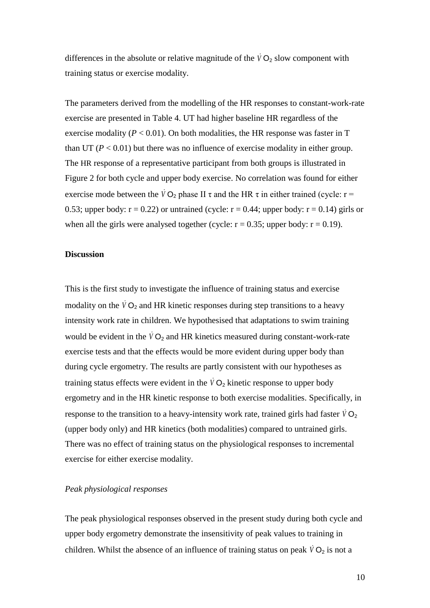differences in the absolute or relative magnitude of the  $\dot{V}O_2$  slow component with training status or exercise modality.

The parameters derived from the modelling of the HR responses to constant-work-rate exercise are presented in Table 4. UT had higher baseline HR regardless of the exercise modality ( $P < 0.01$ ). On both modalities, the HR response was faster in T than UT ( $P < 0.01$ ) but there was no influence of exercise modality in either group. The HR response of a representative participant from both groups is illustrated in Figure 2 for both cycle and upper body exercise. No correlation was found for either exercise mode between the  $\dot{V}O_2$  phase II  $\tau$  and the HR  $\tau$  in either trained (cycle: r = 0.53; upper body:  $r = 0.22$ ) or untrained (cycle:  $r = 0.44$ ; upper body:  $r = 0.14$ ) girls or when all the girls were analysed together (cycle:  $r = 0.35$ ; upper body:  $r = 0.19$ ).

## **Discussion**

This is the first study to investigate the influence of training status and exercise modality on the  $\dot{V}O_2$  and HR kinetic responses during step transitions to a heavy intensity work rate in children. We hypothesised that adaptations to swim training would be evident in the  $\dot{V}O_2$  and HR kinetics measured during constant-work-rate exercise tests and that the effects would be more evident during upper body than during cycle ergometry. The results are partly consistent with our hypotheses as training status effects were evident in the  $VO<sub>2</sub>$  kinetic response to upper body ergometry and in the HR kinetic response to both exercise modalities. Specifically, in response to the transition to a heavy-intensity work rate, trained girls had faster  $\dot{V}O_2$ (upper body only) and HR kinetics (both modalities) compared to untrained girls. There was no effect of training status on the physiological responses to incremental exercise for either exercise modality.

### *Peak physiological responses*

The peak physiological responses observed in the present study during both cycle and upper body ergometry demonstrate the insensitivity of peak values to training in children. Whilst the absence of an influence of training status on peak  $\dot{V}O_2$  is not a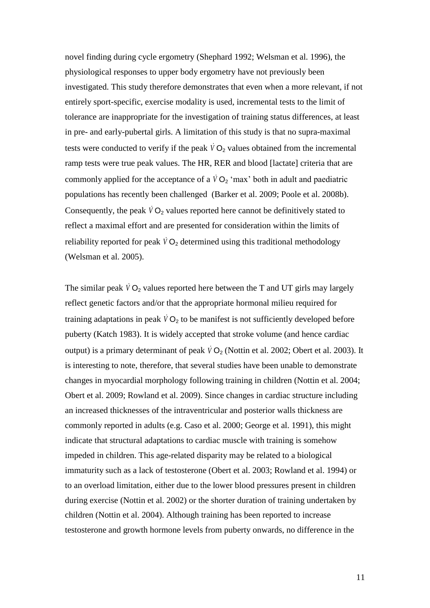novel finding during cycle ergometry (Shephard 1992; Welsman et al. 1996), the physiological responses to upper body ergometry have not previously been investigated. This study therefore demonstrates that even when a more relevant, if not entirely sport-specific, exercise modality is used, incremental tests to the limit of tolerance are inappropriate for the investigation of training status differences, at least in pre- and early-pubertal girls. A limitation of this study is that no supra-maximal tests were conducted to verify if the peak  $\dot{V}O_2$  values obtained from the incremental ramp tests were true peak values. The HR, RER and blood [lactate] criteria that are commonly applied for the acceptance of a  $\dot{V}O_2$  'max' both in adult and paediatric populations has recently been challenged (Barker et al. 2009; Poole et al. 2008b). Consequently, the peak  $\dot{V}O_2$  values reported here cannot be definitively stated to reflect a maximal effort and are presented for consideration within the limits of reliability reported for peak  $\dot{V}O_2$  determined using this traditional methodology (Welsman et al. 2005).

The similar peak  $\dot{V}O_2$  values reported here between the T and UT girls may largely reflect genetic factors and/or that the appropriate hormonal milieu required for training adaptations in peak  $\dot{V}O_2$  to be manifest is not sufficiently developed before puberty (Katch 1983). It is widely accepted that stroke volume (and hence cardiac output) is a primary determinant of peak  $\dot{V}O_2$  (Nottin et al. 2002; Obert et al. 2003). It is interesting to note, therefore, that several studies have been unable to demonstrate changes in myocardial morphology following training in children (Nottin et al. 2004; Obert et al. 2009; Rowland et al. 2009). Since changes in cardiac structure including an increased thicknesses of the intraventricular and posterior walls thickness are commonly reported in adults (e.g. Caso et al. 2000; George et al. 1991), this might indicate that structural adaptations to cardiac muscle with training is somehow impeded in children. This age-related disparity may be related to a biological immaturity such as a lack of testosterone (Obert et al. 2003; Rowland et al. 1994) or to an overload limitation, either due to the lower blood pressures present in children during exercise (Nottin et al. 2002) or the shorter duration of training undertaken by children (Nottin et al. 2004). Although training has been reported to increase testosterone and growth hormone levels from puberty onwards, no difference in the

11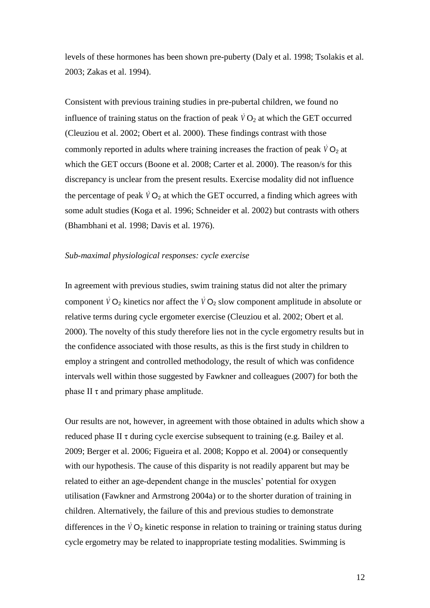levels of these hormones has been shown pre-puberty (Daly et al. 1998; Tsolakis et al. 2003; Zakas et al. 1994).

Consistent with previous training studies in pre-pubertal children, we found no influence of training status on the fraction of peak  $\dot{V}O_2$  at which the GET occurred (Cleuziou et al. 2002; Obert et al. 2000). These findings contrast with those commonly reported in adults where training increases the fraction of peak  $\dot{V}O_2$  at which the GET occurs (Boone et al. 2008; Carter et al. 2000). The reason/s for this discrepancy is unclear from the present results. Exercise modality did not influence the percentage of peak  $\dot{V}O_2$  at which the GET occurred, a finding which agrees with some adult studies (Koga et al. 1996; Schneider et al. 2002) but contrasts with others (Bhambhani et al. 1998; Davis et al. 1976).

#### *Sub-maximal physiological responses: cycle exercise*

In agreement with previous studies, swim training status did not alter the primary component  $\dot{V}O_2$  kinetics nor affect the  $\dot{V}O_2$  slow component amplitude in absolute or relative terms during cycle ergometer exercise (Cleuziou et al. 2002; Obert et al. 2000). The novelty of this study therefore lies not in the cycle ergometry results but in the confidence associated with those results, as this is the first study in children to employ a stringent and controlled methodology, the result of which was confidence intervals well within those suggested by Fawkner and colleagues (2007) for both the phase II  $\tau$  and primary phase amplitude.

Our results are not, however, in agreement with those obtained in adults which show a reduced phase II  $\tau$  during cycle exercise subsequent to training (e.g. Bailey et al. 2009; Berger et al. 2006; Figueira et al. 2008; Koppo et al. 2004) or consequently with our hypothesis. The cause of this disparity is not readily apparent but may be related to either an age-dependent change in the muscles' potential for oxygen utilisation (Fawkner and Armstrong 2004a) or to the shorter duration of training in children. Alternatively, the failure of this and previous studies to demonstrate differences in the  $\dot{V}O_2$  kinetic response in relation to training or training status during cycle ergometry may be related to inappropriate testing modalities. Swimming is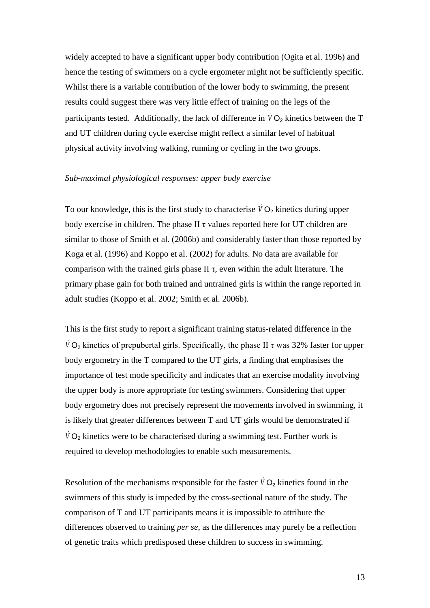widely accepted to have a significant upper body contribution (Ogita et al. 1996) and hence the testing of swimmers on a cycle ergometer might not be sufficiently specific. Whilst there is a variable contribution of the lower body to swimming, the present results could suggest there was very little effect of training on the legs of the participants tested. Additionally, the lack of difference in  $\dot{V}O_2$  kinetics between the T and UT children during cycle exercise might reflect a similar level of habitual physical activity involving walking, running or cycling in the two groups.

#### *Sub-maximal physiological responses: upper body exercise*

To our knowledge, this is the first study to characterise  $\dot{V}O_2$  kinetics during upper body exercise in children. The phase II  $\tau$  values reported here for UT children are similar to those of Smith et al. (2006b) and considerably faster than those reported by Koga et al. (1996) and Koppo et al. (2002) for adults. No data are available for comparison with the trained girls phase II  $\tau$ , even within the adult literature. The primary phase gain for both trained and untrained girls is within the range reported in adult studies (Koppo et al. 2002; Smith et al. 2006b).

This is the first study to report a significant training status-related difference in the  $\dot{V}$  O<sub>2</sub> kinetics of prepubertal girls. Specifically, the phase II  $\tau$  was 32% faster for upper body ergometry in the T compared to the UT girls, a finding that emphasises the importance of test mode specificity and indicates that an exercise modality involving the upper body is more appropriate for testing swimmers. Considering that upper body ergometry does not precisely represent the movements involved in swimming, it is likely that greater differences between T and UT girls would be demonstrated if  $\dot{V}$  O<sub>2</sub> kinetics were to be characterised during a swimming test. Further work is required to develop methodologies to enable such measurements.

Resolution of the mechanisms responsible for the faster  $\dot{V}O_2$  kinetics found in the swimmers of this study is impeded by the cross-sectional nature of the study. The comparison of T and UT participants means it is impossible to attribute the differences observed to training *per se*, as the differences may purely be a reflection of genetic traits which predisposed these children to success in swimming.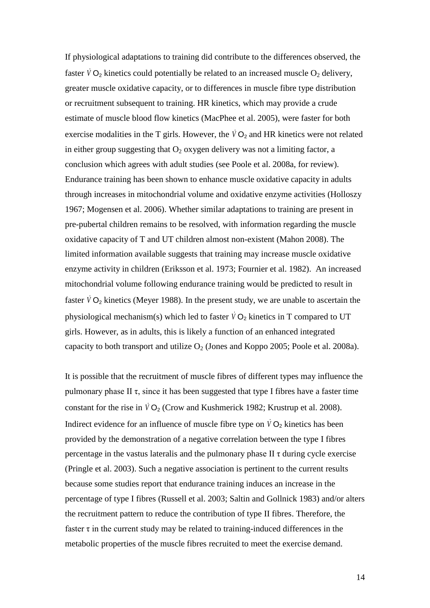If physiological adaptations to training did contribute to the differences observed, the faster  $\dot{V}O_2$  kinetics could potentially be related to an increased muscle  $O_2$  delivery, greater muscle oxidative capacity, or to differences in muscle fibre type distribution or recruitment subsequent to training. HR kinetics, which may provide a crude estimate of muscle blood flow kinetics (MacPhee et al. 2005), were faster for both exercise modalities in the T girls. However, the  $\dot{V}O_2$  and HR kinetics were not related in either group suggesting that  $O_2$  oxygen delivery was not a limiting factor, a conclusion which agrees with adult studies (see Poole et al. 2008a, for review). Endurance training has been shown to enhance muscle oxidative capacity in adults through increases in mitochondrial volume and oxidative enzyme activities (Holloszy 1967; Mogensen et al. 2006). Whether similar adaptations to training are present in pre-pubertal children remains to be resolved, with information regarding the muscle oxidative capacity of T and UT children almost non-existent (Mahon 2008). The limited information available suggests that training may increase muscle oxidative enzyme activity in children (Eriksson et al. 1973; Fournier et al. 1982). An increased mitochondrial volume following endurance training would be predicted to result in faster  $\dot{V}O_2$  kinetics (Meyer 1988). In the present study, we are unable to ascertain the physiological mechanism(s) which led to faster  $\dot{V}O_2$  kinetics in T compared to UT girls. However, as in adults, this is likely a function of an enhanced integrated capacity to both transport and utilize  $O_2$  (Jones and Koppo 2005; Poole et al. 2008a).

It is possible that the recruitment of muscle fibres of different types may influence the pulmonary phase II  $\tau$ , since it has been suggested that type I fibres have a faster time constant for the rise in  $\dot{V}O_2$  (Crow and Kushmerick 1982; Krustrup et al. 2008). Indirect evidence for an influence of muscle fibre type on  $\dot{V}O_2$  kinetics has been provided by the demonstration of a negative correlation between the type I fibres percentage in the vastus lateralis and the pulmonary phase II  $\tau$  during cycle exercise (Pringle et al. 2003). Such a negative association is pertinent to the current results because some studies report that endurance training induces an increase in the percentage of type I fibres (Russell et al. 2003; Saltin and Gollnick 1983) and/or alters the recruitment pattern to reduce the contribution of type II fibres. Therefore, the faster  $\tau$  in the current study may be related to training-induced differences in the metabolic properties of the muscle fibres recruited to meet the exercise demand.

14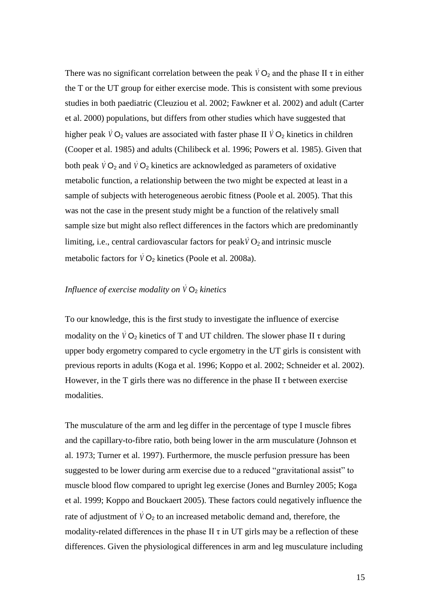There was no significant correlation between the peak  $\dot{V}O_2$  and the phase II  $\tau$  in either the T or the UT group for either exercise mode. This is consistent with some previous studies in both paediatric (Cleuziou et al. 2002; Fawkner et al. 2002) and adult (Carter et al. 2000) populations, but differs from other studies which have suggested that higher peak  $\dot{V}O_2$  values are associated with faster phase II  $\dot{V}O_2$  kinetics in children (Cooper et al. 1985) and adults (Chilibeck et al. 1996; Powers et al. 1985). Given that both peak  $\dot{V}O_2$  and  $\dot{V}O_2$  kinetics are acknowledged as parameters of oxidative metabolic function, a relationship between the two might be expected at least in a sample of subjects with heterogeneous aerobic fitness (Poole et al. 2005). That this was not the case in the present study might be a function of the relatively small sample size but might also reflect differences in the factors which are predominantly limiting, i.e., central cardiovascular factors for peak  $\dot{V}O_2$  and intrinsic muscle metabolic factors for  $\dot{V}O_2$  kinetics (Poole et al. 2008a).

## Influence of exercise modality on  $\dot{V}O_2$  kinetics

To our knowledge, this is the first study to investigate the influence of exercise modality on the  $\dot{V}O_2$  kinetics of T and UT children. The slower phase II  $\tau$  during upper body ergometry compared to cycle ergometry in the UT girls is consistent with previous reports in adults (Koga et al. 1996; Koppo et al. 2002; Schneider et al. 2002). However, in the T girls there was no difference in the phase II  $\tau$  between exercise modalities.

The musculature of the arm and leg differ in the percentage of type I muscle fibres and the capillary-to-fibre ratio, both being lower in the arm musculature (Johnson et al. 1973; Turner et al. 1997). Furthermore, the muscle perfusion pressure has been suggested to be lower during arm exercise due to a reduced "gravitational assist" to muscle blood flow compared to upright leg exercise (Jones and Burnley 2005; Koga et al. 1999; Koppo and Bouckaert 2005). These factors could negatively influence the rate of adjustment of  $\dot{V}O_2$  to an increased metabolic demand and, therefore, the modality-related differences in the phase II  $\tau$  in UT girls may be a reflection of these differences. Given the physiological differences in arm and leg musculature including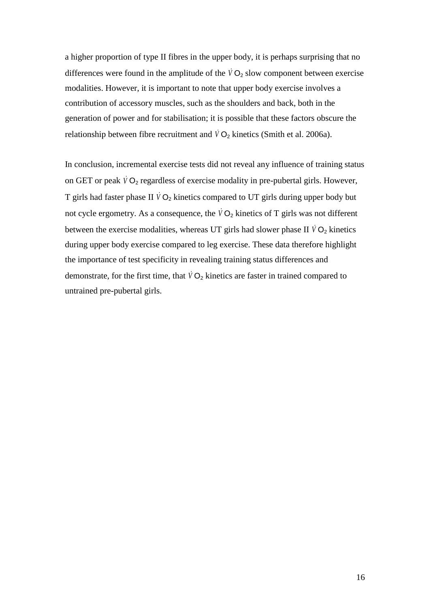a higher proportion of type II fibres in the upper body, it is perhaps surprising that no differences were found in the amplitude of the  $\dot{V}O_2$  slow component between exercise modalities. However, it is important to note that upper body exercise involves a contribution of accessory muscles, such as the shoulders and back, both in the generation of power and for stabilisation; it is possible that these factors obscure the relationship between fibre recruitment and  $\dot{V}O_2$  kinetics (Smith et al. 2006a).

In conclusion, incremental exercise tests did not reveal any influence of training status on GET or peak  $\dot{V}O_2$  regardless of exercise modality in pre-pubertal girls. However, T girls had faster phase II  $\dot{V}O_2$  kinetics compared to UT girls during upper body but not cycle ergometry. As a consequence, the  $\overline{V}O_2$  kinetics of T girls was not different between the exercise modalities, whereas UT girls had slower phase II  $\dot{V}O_2$  kinetics during upper body exercise compared to leg exercise. These data therefore highlight the importance of test specificity in revealing training status differences and demonstrate, for the first time, that  $\dot{V}O_2$  kinetics are faster in trained compared to untrained pre-pubertal girls.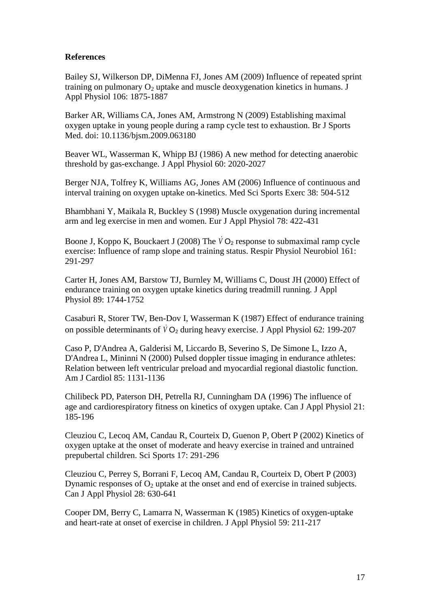## **References**

Bailey SJ, Wilkerson DP, DiMenna FJ, Jones AM (2009) Influence of repeated sprint training on pulmonary  $O_2$  uptake and muscle deoxygenation kinetics in humans. J Appl Physiol 106: 1875-1887

Barker AR, Williams CA, Jones AM, Armstrong N (2009) Establishing maximal oxygen uptake in young people during a ramp cycle test to exhaustion. Br J Sports Med. doi: 10.1136/bjsm.2009.063180

Beaver WL, Wasserman K, Whipp BJ (1986) A new method for detecting anaerobic threshold by gas-exchange. J Appl Physiol 60: 2020-2027

Berger NJA, Tolfrey K, Williams AG, Jones AM (2006) Influence of continuous and interval training on oxygen uptake on-kinetics. Med Sci Sports Exerc 38: 504-512

Bhambhani Y, Maikala R, Buckley S (1998) Muscle oxygenation during incremental arm and leg exercise in men and women. Eur J Appl Physiol 78: 422-431

Boone J, Koppo K, Bouckaert J (2008) The  $\dot{V}O_2$  response to submaximal ramp cycle exercise: Influence of ramp slope and training status. Respir Physiol Neurobiol 161: 291-297

Carter H, Jones AM, Barstow TJ, Burnley M, Williams C, Doust JH (2000) Effect of endurance training on oxygen uptake kinetics during treadmill running. J Appl Physiol 89: 1744-1752

Casaburi R, Storer TW, Ben-Dov I, Wasserman K (1987) Effect of endurance training on possible determinants of  $\dot{V}O_2$  during heavy exercise. J Appl Physiol 62: 199-207

Caso P, D'Andrea A, Galderisi M, Liccardo B, Severino S, De Simone L, Izzo A, D'Andrea L, Mininni N (2000) Pulsed doppler tissue imaging in endurance athletes: Relation between left ventricular preload and myocardial regional diastolic function. Am J Cardiol 85: 1131-1136

Chilibeck PD, Paterson DH, Petrella RJ, Cunningham DA (1996) The influence of age and cardiorespiratory fitness on kinetics of oxygen uptake. Can J Appl Physiol 21: 185-196

Cleuziou C, Lecoq AM, Candau R, Courteix D, Guenon P, Obert P (2002) Kinetics of oxygen uptake at the onset of moderate and heavy exercise in trained and untrained prepubertal children. Sci Sports 17: 291-296

Cleuziou C, Perrey S, Borrani F, Lecoq AM, Candau R, Courteix D, Obert P (2003) Dynamic responses of  $O_2$  uptake at the onset and end of exercise in trained subjects. Can J Appl Physiol 28: 630-641

Cooper DM, Berry C, Lamarra N, Wasserman K (1985) Kinetics of oxygen-uptake and heart-rate at onset of exercise in children. J Appl Physiol 59: 211-217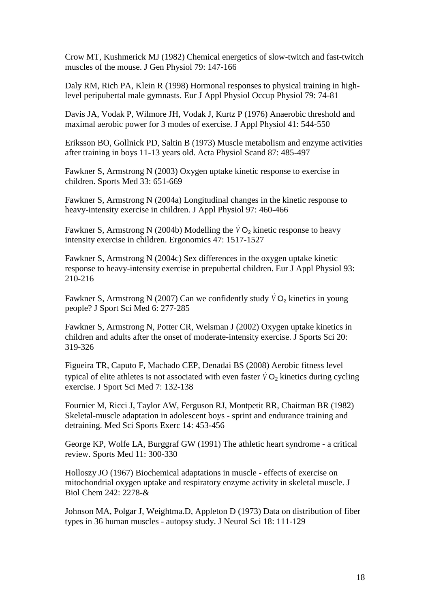Crow MT, Kushmerick MJ (1982) Chemical energetics of slow-twitch and fast-twitch muscles of the mouse. J Gen Physiol 79: 147-166

Daly RM, Rich PA, Klein R (1998) Hormonal responses to physical training in highlevel peripubertal male gymnasts. Eur J Appl Physiol Occup Physiol 79: 74-81

Davis JA, Vodak P, Wilmore JH, Vodak J, Kurtz P (1976) Anaerobic threshold and maximal aerobic power for 3 modes of exercise. J Appl Physiol 41: 544-550

Eriksson BO, Gollnick PD, Saltin B (1973) Muscle metabolism and enzyme activities after training in boys 11-13 years old. Acta Physiol Scand 87: 485-497

Fawkner S, Armstrong N (2003) Oxygen uptake kinetic response to exercise in children. Sports Med 33: 651-669

Fawkner S, Armstrong N (2004a) Longitudinal changes in the kinetic response to heavy-intensity exercise in children. J Appl Physiol 97: 460-466

Fawkner S, Armstrong N (2004b) Modelling the  $\dot{V}O_2$  kinetic response to heavy intensity exercise in children. Ergonomics 47: 1517-1527

Fawkner S, Armstrong N (2004c) Sex differences in the oxygen uptake kinetic response to heavy-intensity exercise in prepubertal children. Eur J Appl Physiol 93: 210-216

Fawkner S, Armstrong N (2007) Can we confidently study  $\dot{V}O_2$  kinetics in young people? J Sport Sci Med 6: 277-285

Fawkner S, Armstrong N, Potter CR, Welsman J (2002) Oxygen uptake kinetics in children and adults after the onset of moderate-intensity exercise. J Sports Sci 20: 319-326

Figueira TR, Caputo F, Machado CEP, Denadai BS (2008) Aerobic fitness level typical of elite athletes is not associated with even faster  $\dot{V}O_2$  kinetics during cycling exercise. J Sport Sci Med 7: 132-138

Fournier M, Ricci J, Taylor AW, Ferguson RJ, Montpetit RR, Chaitman BR (1982) Skeletal-muscle adaptation in adolescent boys - sprint and endurance training and detraining. Med Sci Sports Exerc 14: 453-456

George KP, Wolfe LA, Burggraf GW (1991) The athletic heart syndrome - a critical review. Sports Med 11: 300-330

Holloszy JO (1967) Biochemical adaptations in muscle - effects of exercise on mitochondrial oxygen uptake and respiratory enzyme activity in skeletal muscle. J Biol Chem 242: 2278-&

Johnson MA, Polgar J, Weightma.D, Appleton D (1973) Data on distribution of fiber types in 36 human muscles - autopsy study. J Neurol Sci 18: 111-129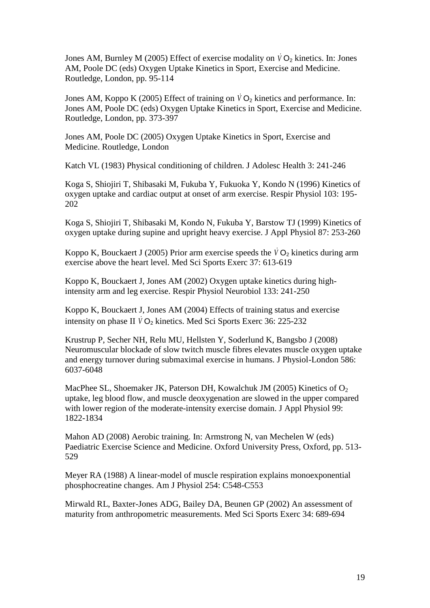Jones AM, Burnley M (2005) Effect of exercise modality on  $\dot{V}O_2$  kinetics. In: Jones AM, Poole DC (eds) Oxygen Uptake Kinetics in Sport, Exercise and Medicine. Routledge, London, pp. 95-114

Jones AM, Koppo K (2005) Effect of training on  $\dot{V}O_2$  kinetics and performance. In: Jones AM, Poole DC (eds) Oxygen Uptake Kinetics in Sport, Exercise and Medicine. Routledge, London, pp. 373-397

Jones AM, Poole DC (2005) Oxygen Uptake Kinetics in Sport, Exercise and Medicine. Routledge, London

Katch VL (1983) Physical conditioning of children. J Adolesc Health 3: 241-246

Koga S, Shiojiri T, Shibasaki M, Fukuba Y, Fukuoka Y, Kondo N (1996) Kinetics of oxygen uptake and cardiac output at onset of arm exercise. Respir Physiol 103: 195- 202

Koga S, Shiojiri T, Shibasaki M, Kondo N, Fukuba Y, Barstow TJ (1999) Kinetics of oxygen uptake during supine and upright heavy exercise. J Appl Physiol 87: 253-260

Koppo K, Bouckaert J (2005) Prior arm exercise speeds the  $\overline{V}O_2$  kinetics during arm exercise above the heart level. Med Sci Sports Exerc 37: 613-619

Koppo K, Bouckaert J, Jones AM (2002) Oxygen uptake kinetics during highintensity arm and leg exercise. Respir Physiol Neurobiol 133: 241-250

Koppo K, Bouckaert J, Jones AM (2004) Effects of training status and exercise intensity on phase II *V* O<sub>2</sub> kinetics. Med Sci Sports Exerc 36: 225-232

Krustrup P, Secher NH, Relu MU, Hellsten Y, Soderlund K, Bangsbo J (2008) Neuromuscular blockade of slow twitch muscle fibres elevates muscle oxygen uptake and energy turnover during submaximal exercise in humans. J Physiol-London 586: 6037-6048

MacPhee SL, Shoemaker JK, Paterson DH, Kowalchuk JM (2005) Kinetics of  $O_2$ uptake, leg blood flow, and muscle deoxygenation are slowed in the upper compared with lower region of the moderate-intensity exercise domain. J Appl Physiol 99: 1822-1834

Mahon AD (2008) Aerobic training. In: Armstrong N, van Mechelen W (eds) Paediatric Exercise Science and Medicine. Oxford University Press, Oxford, pp. 513- 529

Meyer RA (1988) A linear-model of muscle respiration explains monoexponential phosphocreatine changes. Am J Physiol 254: C548-C553

Mirwald RL, Baxter-Jones ADG, Bailey DA, Beunen GP (2002) An assessment of maturity from anthropometric measurements. Med Sci Sports Exerc 34: 689-694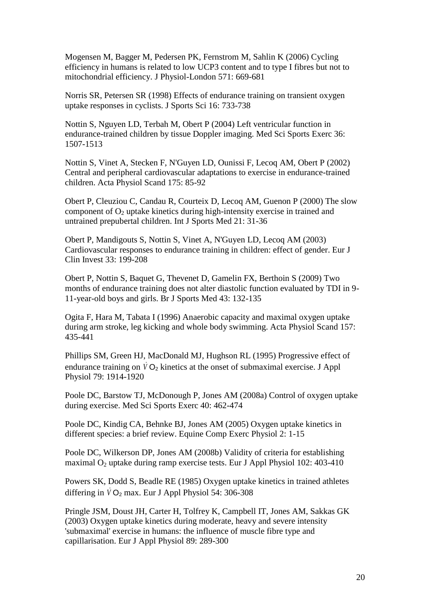Mogensen M, Bagger M, Pedersen PK, Fernstrom M, Sahlin K (2006) Cycling efficiency in humans is related to low UCP3 content and to type I fibres but not to mitochondrial efficiency. J Physiol-London 571: 669-681

Norris SR, Petersen SR (1998) Effects of endurance training on transient oxygen uptake responses in cyclists. J Sports Sci 16: 733-738

Nottin S, Nguyen LD, Terbah M, Obert P (2004) Left ventricular function in endurance-trained children by tissue Doppler imaging. Med Sci Sports Exerc 36: 1507-1513

Nottin S, Vinet A, Stecken F, N'Guyen LD, Ounissi F, Lecoq AM, Obert P (2002) Central and peripheral cardiovascular adaptations to exercise in endurance-trained children. Acta Physiol Scand 175: 85-92

Obert P, Cleuziou C, Candau R, Courteix D, Lecoq AM, Guenon P (2000) The slow component of  $O_2$  uptake kinetics during high-intensity exercise in trained and untrained prepubertal children. Int J Sports Med 21: 31-36

Obert P, Mandigouts S, Nottin S, Vinet A, N'Guyen LD, Lecoq AM (2003) Cardiovascular responses to endurance training in children: effect of gender. Eur J Clin Invest 33: 199-208

Obert P, Nottin S, Baquet G, Thevenet D, Gamelin FX, Berthoin S (2009) Two months of endurance training does not alter diastolic function evaluated by TDI in 9- 11-year-old boys and girls. Br J Sports Med 43: 132-135

Ogita F, Hara M, Tabata I (1996) Anaerobic capacity and maximal oxygen uptake during arm stroke, leg kicking and whole body swimming. Acta Physiol Scand 157: 435-441

Phillips SM, Green HJ, MacDonald MJ, Hughson RL (1995) Progressive effect of endurance training on  $\dot{V}O_2$  kinetics at the onset of submaximal exercise. J Appl Physiol 79: 1914-1920

Poole DC, Barstow TJ, McDonough P, Jones AM (2008a) Control of oxygen uptake during exercise. Med Sci Sports Exerc 40: 462-474

Poole DC, Kindig CA, Behnke BJ, Jones AM (2005) Oxygen uptake kinetics in different species: a brief review. Equine Comp Exerc Physiol 2: 1-15

Poole DC, Wilkerson DP, Jones AM (2008b) Validity of criteria for establishing maximal  $O<sub>2</sub>$  uptake during ramp exercise tests. Eur J Appl Physiol 102: 403-410

Powers SK, Dodd S, Beadle RE (1985) Oxygen uptake kinetics in trained athletes differing in  $\dot{V}O_2$  max. Eur J Appl Physiol 54: 306-308

Pringle JSM, Doust JH, Carter H, Tolfrey K, Campbell IT, Jones AM, Sakkas GK (2003) Oxygen uptake kinetics during moderate, heavy and severe intensity 'submaximal' exercise in humans: the influence of muscle fibre type and capillarisation. Eur J Appl Physiol 89: 289-300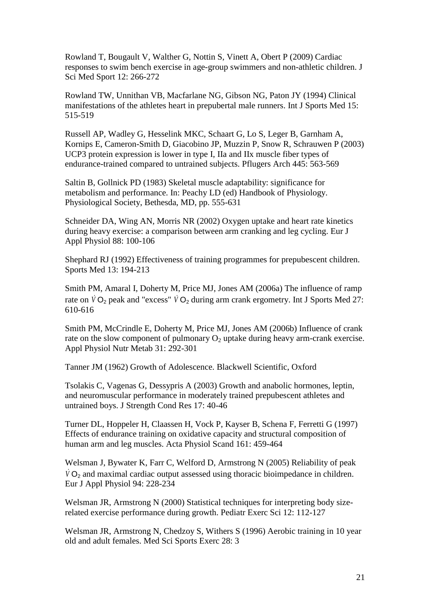Rowland T, Bougault V, Walther G, Nottin S, Vinett A, Obert P (2009) Cardiac responses to swim bench exercise in age-group swimmers and non-athletic children. J Sci Med Sport 12: 266-272

Rowland TW, Unnithan VB, Macfarlane NG, Gibson NG, Paton JY (1994) Clinical manifestations of the athletes heart in prepubertal male runners. Int J Sports Med 15: 515-519

Russell AP, Wadley G, Hesselink MKC, Schaart G, Lo S, Leger B, Garnham A, Kornips E, Cameron-Smith D, Giacobino JP, Muzzin P, Snow R, Schrauwen P (2003) UCP3 protein expression is lower in type I, IIa and IIx muscle fiber types of endurance-trained compared to untrained subjects. Pflugers Arch 445: 563-569

Saltin B, Gollnick PD (1983) Skeletal muscle adaptability: significance for metabolism and performance. In: Peachy LD (ed) Handbook of Physiology. Physiological Society, Bethesda, MD, pp. 555-631

Schneider DA, Wing AN, Morris NR (2002) Oxygen uptake and heart rate kinetics during heavy exercise: a comparison between arm cranking and leg cycling. Eur J Appl Physiol 88: 100-106

Shephard RJ (1992) Effectiveness of training programmes for prepubescent children. Sports Med 13: 194-213

Smith PM, Amaral I, Doherty M, Price MJ, Jones AM (2006a) The influence of ramp rate on  $\dot{V}O_2$  peak and "excess"  $\dot{V}O_2$  during arm crank ergometry. Int J Sports Med 27: 610-616

Smith PM, McCrindle E, Doherty M, Price MJ, Jones AM (2006b) Influence of crank rate on the slow component of pulmonary  $O_2$  uptake during heavy arm-crank exercise. Appl Physiol Nutr Metab 31: 292-301

Tanner JM (1962) Growth of Adolescence. Blackwell Scientific, Oxford

Tsolakis C, Vagenas G, Dessypris A (2003) Growth and anabolic hormones, leptin, and neuromuscular performance in moderately trained prepubescent athletes and untrained boys. J Strength Cond Res 17: 40-46

Turner DL, Hoppeler H, Claassen H, Vock P, Kayser B, Schena F, Ferretti G (1997) Effects of endurance training on oxidative capacity and structural composition of human arm and leg muscles. Acta Physiol Scand 161: 459-464

Welsman J, Bywater K, Farr C, Welford D, Armstrong N (2005) Reliability of peak  $\dot{V}$  O<sub>2</sub> and maximal cardiac output assessed using thoracic bioimpedance in children. Eur J Appl Physiol 94: 228-234

Welsman JR, Armstrong N (2000) Statistical techniques for interpreting body sizerelated exercise performance during growth. Pediatr Exerc Sci 12: 112-127

Welsman JR, Armstrong N, Chedzoy S, Withers S (1996) Aerobic training in 10 year old and adult females. Med Sci Sports Exerc 28: 3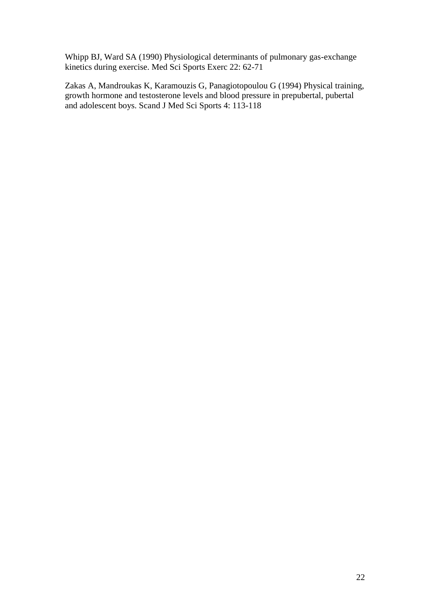Whipp BJ, Ward SA (1990) Physiological determinants of pulmonary gas-exchange kinetics during exercise. Med Sci Sports Exerc 22: 62-71

Zakas A, Mandroukas K, Karamouzis G, Panagiotopoulou G (1994) Physical training, growth hormone and testosterone levels and blood pressure in prepubertal, pubertal and adolescent boys. Scand J Med Sci Sports 4: 113-118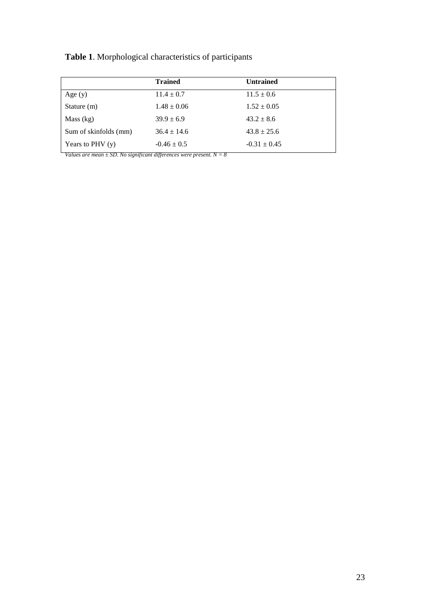# **Table 1**. Morphological characteristics of participants

|                       | <b>Trained</b>  | <b>Untrained</b> |
|-----------------------|-----------------|------------------|
| Age $(y)$             | $11.4 \pm 0.7$  | $11.5 \pm 0.6$   |
| Stature $(m)$         | $1.48 \pm 0.06$ | $1.52 \pm 0.05$  |
| Mass (kg)             | $39.9 \pm 6.9$  | $43.2 \pm 8.6$   |
| Sum of skinfolds (mm) | $36.4 \pm 14.6$ | $43.8 \pm 25.6$  |
| Years to PHV $(y)$    | $-0.46 \pm 0.5$ | $-0.31 \pm 0.45$ |

*Values are mean ± SD. No significant differences were present. N = 8*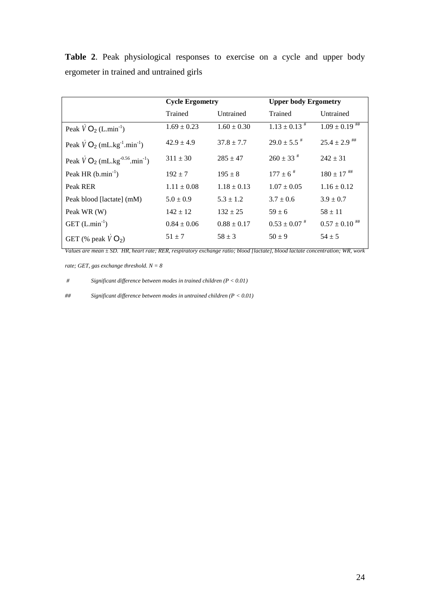**Table 2**. Peak physiological responses to exercise on a cycle and upper body ergometer in trained and untrained girls

|                                                              | <b>Cycle Ergometry</b> |                 | <b>Upper body Ergometry</b>  |                    |
|--------------------------------------------------------------|------------------------|-----------------|------------------------------|--------------------|
|                                                              | Trained                | Untrained       | Trained                      | Untrained          |
| Peak $\hat{V}O_2$ (L.min <sup>-1</sup> )                     | $1.69 \pm 0.23$        | $1.60 \pm 0.30$ | $1.13 \pm 0.13$ <sup>#</sup> | $1.09 \pm 0.19$ ## |
| Peak $\sqrt{V}O_2$ (mL.kg <sup>-1</sup> .min <sup>-1</sup> ) | $42.9 \pm 4.9$         | $37.8 \pm 7.7$  | $29.0 \pm 5.5$ <sup>#</sup>  | $25.4 \pm 2.9$ *** |
| Peak $VO_2$ (mL.kg <sup>-0.56</sup> .min <sup>-1</sup> )     | $311 \pm 30$           | $285 \pm 47$    | $260 \pm 33$ <sup>#</sup>    | $242 \pm 31$       |
| Peak HR $(b.min-1)$                                          | $192 \pm 7$            | $195 \pm 8$     | $177 \pm 6$ <sup>#</sup>     | $180 \pm 17$ ##    |
| Peak RER                                                     | $1.11 \pm 0.08$        | $1.18 \pm 0.13$ | $1.07 \pm 0.05$              | $1.16 \pm 0.12$    |
| Peak blood [lactate] (mM)                                    | $5.0 \pm 0.9$          | $5.3 \pm 1.2$   | $3.7 \pm 0.6$                | $3.9 \pm 0.7$      |
| Peak WR (W)                                                  | $142 \pm 12$           | $132 \pm 25$    | $59 \pm 6$                   | $58 \pm 11$        |
| GET $(L.min^{-1})$                                           | $0.84 \pm 0.06$        | $0.88 \pm 0.17$ | $0.53 \pm 0.07$ <sup>#</sup> | $0.57 \pm 0.10$ ## |
| GET (% peak $\dot{V}O_2$ )                                   | $51 \pm 7$             | $58 \pm 3$      | $50 \pm 9$                   | $54 \pm 5$         |

*Values are mean ± SD. HR, heart rate; RER, respiratory exchange ratio; blood [lactate], blood lactate concentration; WR, work* 

*rate; GET, gas exchange threshold. N = 8*

*# Significant difference between modes in trained children (P < 0.01)*

*## Significant difference between modes in untrained children (P < 0.01)*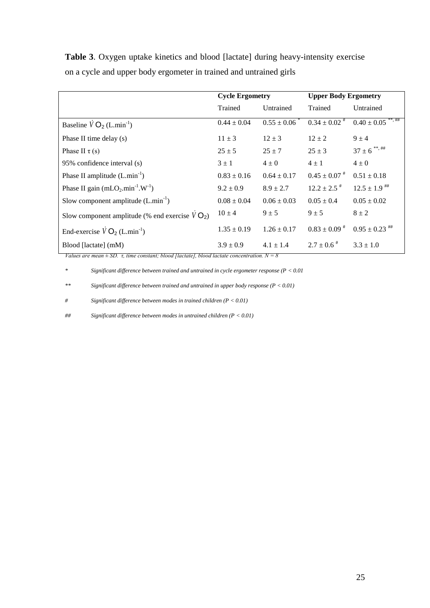**Table 3**. Oxygen uptake kinetics and blood [lactate] during heavy-intensity exercise on a cycle and upper body ergometer in trained and untrained girls

|                                                                       | <b>Cycle Ergometry</b> |                 | <b>Upper Body Ergometry</b>  |                                  |
|-----------------------------------------------------------------------|------------------------|-----------------|------------------------------|----------------------------------|
|                                                                       | Trained                | Untrained       | Trained                      | Untrained                        |
| Baseline $\overline{V}O_2$ (L.min <sup>-1</sup> )                     | $0.44 \pm 0.04$        | $0.55 \pm 0.06$ | $0.34 \pm 0.02$ <sup>#</sup> | $0.40 \pm 0.05$ <sup>**,##</sup> |
| Phase II time delay (s)                                               | $11 \pm 3$             | $12 \pm 3$      | $12 \pm 2$                   | $9 \pm 4$                        |
| Phase II $\tau$ (s)                                                   | $25 \pm 5$             | $25 + 7$        | $25 + 3$                     | $37 \pm 6$ **, ##                |
| 95% confidence interval (s)                                           | $3 \pm 1$              | $4\pm0$         | $4 \pm 1$                    | $4\pm0$                          |
| Phase II amplitude $(L.min^{-1})$                                     | $0.83 \pm 0.16$        | $0.64 \pm 0.17$ | $0.45 \pm 0.07$ <sup>#</sup> | $0.51 \pm 0.18$                  |
| Phase II gain (mLO <sub>2</sub> .min <sup>-1</sup> .W <sup>-1</sup> ) | $9.2 \pm 0.9$          | $8.9 \pm 2.7$   | $12.2 \pm 2.5$ <sup>#</sup>  | $12.5 \pm 1.9$ ***               |
| Slow component amplitude $(L.min^{-1})$                               | $0.08 \pm 0.04$        | $0.06 \pm 0.03$ | $0.05 \pm 0.4$               | $0.05 \pm 0.02$                  |
| Slow component amplitude (% end exercise $VO_2$ )                     | $10 \pm 4$             | $9 \pm 5$       | $9 \pm 5$                    | $8 \pm 2$                        |
| End-exercise $\dot{V}O_2$ (L.min <sup>-1</sup> )                      | $1.35 \pm 0.19$        | $1.26 \pm 0.17$ | $0.83 \pm 0.09$ <sup>#</sup> | $0.95 \pm 0.23$ ##               |
| Blood [lactate] (mM)                                                  | $3.9 \pm 0.9$          | $4.1 \pm 1.4$   | $2.7 \pm 0.6$ <sup>#</sup>   | $3.3 \pm 1.0$                    |

*Values are mean*  $\pm$  *SD. τ, time constant; blood [lactate], blood lactate concentration.*  $N = 8$ 

*\* Significant difference between trained and untrained in cycle ergometer response (P < 0.01*

*\*\* Significant difference between trained and untrained in upper body response (P < 0.01)*

*# Significant difference between modes in trained children (P < 0.01)*

*## Significant difference between modes in untrained children (P < 0.01)*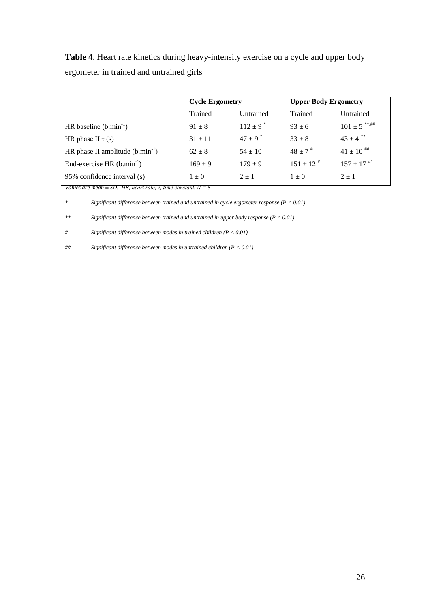**Table 4**. Heart rate kinetics during heavy-intensity exercise on a cycle and upper body ergometer in trained and untrained girls

|                                      | <b>Cycle Ergometry</b> |                          | <b>Upper Body Ergometry</b> |                               |
|--------------------------------------|------------------------|--------------------------|-----------------------------|-------------------------------|
|                                      | Trained                | Untrained                | Trained                     | Untrained                     |
| HR baseline $(b.min^{-1})$           | $91 \pm 8$             | $112 \pm 9$ <sup>*</sup> | $93 \pm 6$                  | $101 \pm 5$ <sup>***,##</sup> |
| HR phase II $\tau(s)$                | $31 \pm 11$            | $47 \pm 9$ <sup>*</sup>  | $33 \pm 8$                  | $43 \pm 4$ **                 |
| HR phase II amplitude $(b.min^{-1})$ | $62 \pm 8$             | $54 \pm 10$              | $48 \pm 7$ <sup>#</sup>     | $41 \pm 10$ ##                |
| End-exercise HR $(b.min-1)$          | $169 \pm 9$            | $179 \pm 9$              | $151 \pm 12$ <sup>#</sup>   | $157 \pm 17$ ***              |
| 95% confidence interval (s)          | $1 \pm 0$              | $2 \pm 1$                | $1 \pm 0$                   | $2 + 1$                       |

*Values are mean*  $\pm$  *SD. HR, heart rate; τ, time constant.*  $N = 8$ 

*\* Significant difference between trained and untrained in cycle ergometer response (P < 0.01)*

*\*\* Significant difference between trained and untrained in upper body response (P < 0.01)*

*# Significant difference between modes in trained children (P < 0.01)*

*## Significant difference between modes in untrained children (P < 0.01)*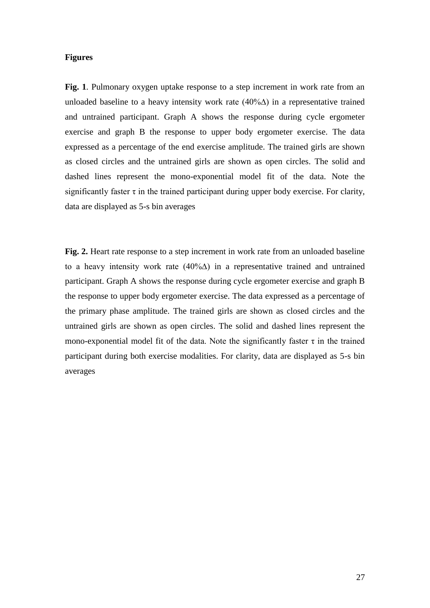## **Figures**

**Fig. 1**. Pulmonary oxygen uptake response to a step increment in work rate from an unloaded baseline to a heavy intensity work rate (40%∆) in a representative trained and untrained participant. Graph A shows the response during cycle ergometer exercise and graph B the response to upper body ergometer exercise. The data expressed as a percentage of the end exercise amplitude. The trained girls are shown as closed circles and the untrained girls are shown as open circles. The solid and dashed lines represent the mono-exponential model fit of the data. Note the significantly faster  $\tau$  in the trained participant during upper body exercise. For clarity, data are displayed as 5-s bin averages

**Fig. 2.** Heart rate response to a step increment in work rate from an unloaded baseline to a heavy intensity work rate (40%∆) in a representative trained and untrained participant. Graph A shows the response during cycle ergometer exercise and graph B the response to upper body ergometer exercise. The data expressed as a percentage of the primary phase amplitude. The trained girls are shown as closed circles and the untrained girls are shown as open circles. The solid and dashed lines represent the mono-exponential model fit of the data. Note the significantly faster  $\tau$  in the trained participant during both exercise modalities. For clarity, data are displayed as 5-s bin averages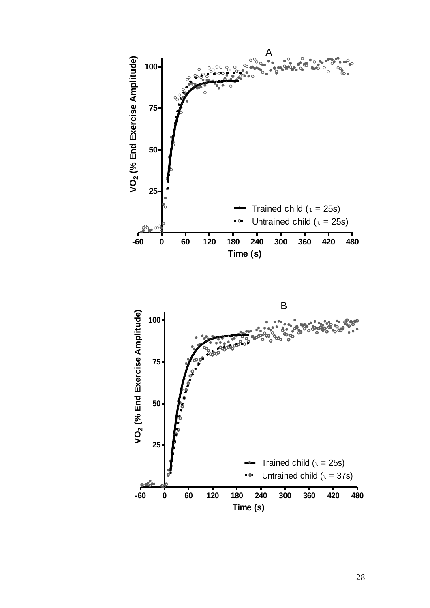